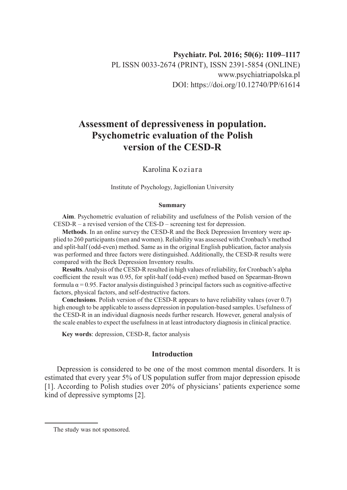# **Assessment of depressiveness in population. Psychometric evaluation of the Polish version of the CESD-R**

# Karolina Koziara

Institute of Psychology, Jagiellonian University

#### **Summary**

**Aim**. Psychometric evaluation of reliability and usefulness of the Polish version of the CESD-R – a revised version of the CES-D – screening test for depression.

**Methods**. In an online survey the CESD-R and the Beck Depression Inventory were applied to 260 participants (men and women). Reliability was assessed with Cronbach's method and split-half (odd-even) method. Same as in the original English publication, factor analysis was performed and three factors were distinguished. Additionally, the CESD-R results were compared with the Beck Depression Inventory results.

**Results**. Analysis of the CESD-R resulted in high values of reliability, for Cronbach's alpha coefficient the result was 0.95, for split-half (odd-even) method based on Spearman-Brown formula  $\alpha$  = 0.95. Factor analysis distinguished 3 principal factors such as cognitive-affective factors, physical factors, and self-destructive factors.

**Conclusions**. Polish version of the CESD-R appears to have reliability values (over 0.7) high enough to be applicable to assess depression in population-based samples. Usefulness of the CESD-R in an individual diagnosis needs further research. However, general analysis of the scale enables to expect the usefulness in at least introductory diagnosis in clinical practice.

**Key words**: depression, CESD-R, factor analysis

## **Introduction**

Depression is considered to be one of the most common mental disorders. It is estimated that every year 5% of US population suffer from major depression episode [1]. According to Polish studies over 20% of physicians' patients experience some kind of depressive symptoms [2].

The study was not sponsored.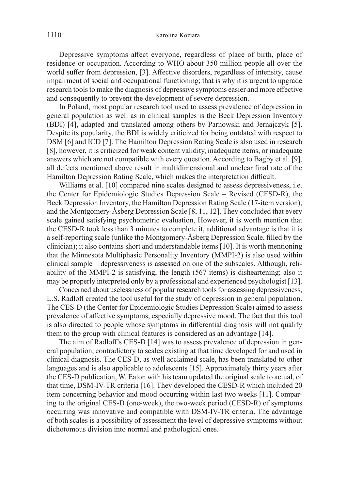Depressive symptoms affect everyone, regardless of place of birth, place of residence or occupation. According to WHO about 350 million people all over the world suffer from depression, [3]. Affective disorders, regardless of intensity, cause impairment of social and occupational functioning; that is why it is urgent to upgrade research tools to make the diagnosis of depressive symptoms easier and more effective and consequently to prevent the development of severe depression.

In Poland, most popular research tool used to assess prevalence of depression in general population as well as in clinical samples is the Beck Depression Inventory (BDI) [4], adapted and translated among others by Parnowski and Jernajczyk [5]. Despite its popularity, the BDI is widely criticized for being outdated with respect to DSM [6] and ICD [7]. The Hamilton Depression Rating Scale is also used in research [8], however, it is criticized for weak content validity, inadequate items, or inadequate answers which are not compatible with every question. According to Bagby et al. [9], all defects mentioned above result in multidimensional and unclear final rate of the Hamilton Depression Rating Scale, which makes the interpretation difficult.

Williams et al. [10] compared nine scales designed to assess depressiveness, i.e. the Center for Epidemiologic Studies Depression Scale – Revised (CESD-R), the Beck Depression Inventory, the Hamilton Depression Rating Scale (17-item version), and the Montgomery-Åsberg Depression Scale [8, 11, 12]. They concluded that every scale gained satisfying psychometric evaluation, However, it is worth mention that the CESD-R took less than 3 minutes to complete it, additional advantage is that it is a self-reporting scale (unlike the Montgomery-Åsberg Depression Scale, filled by the clinician); it also contains short and understandable items [10]. It is worth mentioning that the Minnesota Multiphasic Personality Inventory (MMPI-2) is also used within clinical sample – depressiveness is assessed on one of the subscales. Although, reliability of the MMPI-2 is satisfying, the length (567 items) is disheartening; also it may be properly interpreted only by a professional and experienced psychologist [13].

Concerned about uselessness of popular research tools for assessing depressiveness, L.S. Radloff created the tool useful for the study of depression in general population. The CES-D (the Center for Epidemiologic Studies Depression Scale) aimed to assess prevalence of affective symptoms, especially depressive mood. The fact that this tool is also directed to people whose symptoms in differential diagnosis will not qualify them to the group with clinical features is considered as an advantage [14].

The aim of Radloff's CES-D [14] was to assess prevalence of depression in general population, contradictory to scales existing at that time developed for and used in clinical diagnosis. The CES-D, as well acclaimed scale, has been translated to other languages and is also applicable to adolescents [15]. Approximately thirty years after the CES-D publication, W. Eaton with his team updated the original scale to actual, of that time, DSM-IV-TR criteria [16]. They developed the CESD-R which included 20 item concerning behavior and mood occurring within last two weeks [11]. Comparing to the original CES-D (one-week), the two-week period (CESD-R) of symptoms occurring was innovative and compatible with DSM-IV-TR criteria. The advantage of both scales is a possibility of assessment the level of depressive symptoms without dichotomous division into normal and pathological ones.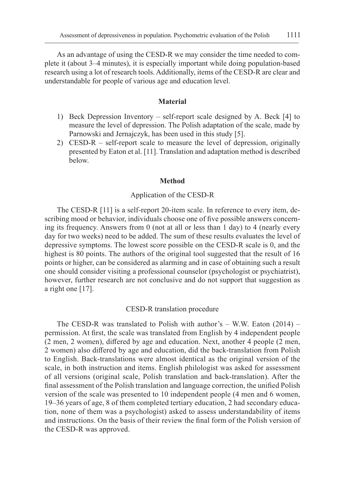As an advantage of using the CESD-R we may consider the time needed to complete it (about 3–4 minutes), it is especially important while doing population-based research using a lot of research tools. Additionally, items of the CESD-R are clear and understandable for people of various age and education level.

### **Material**

- 1) Beck Depression Inventory self-report scale designed by A. Beck [4] to measure the level of depression. The Polish adaptation of the scale, made by Parnowski and Jernajczyk, has been used in this study [5].
- 2) CESD-R self-report scale to measure the level of depression, originally presented by Eaton et al. [11]. Translation and adaptation method is described below.

### **Method**

# Application of the CESD-R

The CESD-R [11] is a self-report 20-item scale. In reference to every item, describing mood or behavior, individuals choose one of five possible answers concerning its frequency. Answers from 0 (not at all or less than 1 day) to 4 (nearly every day for two weeks) need to be added. The sum of these results evaluates the level of depressive symptoms. The lowest score possible on the CESD-R scale is 0, and the highest is 80 points. The authors of the original tool suggested that the result of 16 points or higher, can be considered as alarming and in case of obtaining such a result one should consider visiting a professional counselor (psychologist or psychiatrist), however, further research are not conclusive and do not support that suggestion as a right one [17].

#### CESD-R translation procedure

The CESD-R was translated to Polish with author's  $-$  W.W. Eaton (2014)  $$ permission. At first, the scale was translated from English by 4 independent people (2 men, 2 women), differed by age and education. Next, another 4 people (2 men, 2 women) also differed by age and education, did the back-translation from Polish to English. Back-translations were almost identical as the original version of the scale, in both instruction and items. English philologist was asked for assessment of all versions (original scale, Polish translation and back-translation). After the final assessment of the Polish translation and language correction, the unified Polish version of the scale was presented to 10 independent people (4 men and 6 women, 19–36 years of age, 8 of them completed tertiary education, 2 had secondary education, none of them was a psychologist) asked to assess understandability of items and instructions. On the basis of their review the final form of the Polish version of the CESD-R was approved.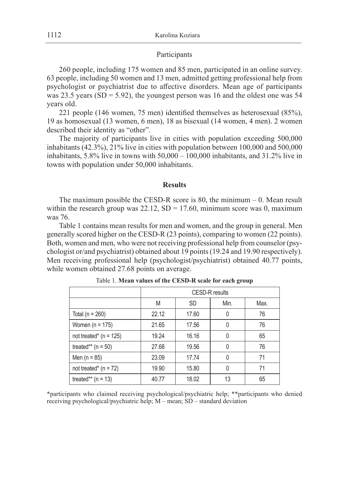## Participants

260 people, including 175 women and 85 men, participated in an online survey. 63 people, including 50 women and 13 men, admitted getting professional help from psychologist or psychiatrist due to affective disorders. Mean age of participants was 23.5 years ( $SD = 5.92$ ), the youngest person was 16 and the oldest one was 54 years old.

221 people (146 women, 75 men) identified themselves as heterosexual (85%), 19 as homosexual (13 women, 6 men), 18 as bisexual (14 women, 4 men). 2 women described their identity as "other".

The majority of participants live in cities with population exceeding 500,000 inhabitants (42.3%), 21% live in cities with population between 100,000 and 500,000 inhabitants, 5.8% live in towns with 50,000 – 100,000 inhabitants, and 31.2% live in towns with population under 50,000 inhabitants.

### **Results**

The maximum possible the CESD-R score is  $80$ , the minimum  $-0$ . Mean result within the research group was  $22.12$ ,  $SD = 17.60$ , minimum score was 0, maximum was 76.

Table 1 contains mean results for men and women, and the group in general. Men generally scored higher on the CESD-R (23 points), comparing to women (22 points). Both, women and men, who were not receiving professional help from counselor (psychologist or/and psychiatrist) obtained about 19 points (19.24 and 19.90 respectively). Men receiving professional help (psychologist/psychiatrist) obtained 40.77 points, while women obtained 27.68 points on average.

|                            | <b>CESD-R</b> results |           |          |      |
|----------------------------|-----------------------|-----------|----------|------|
|                            | M                     | <b>SD</b> | Min.     | Max. |
| Total ( $n = 260$ )        | 22.12                 | 17.60     | $\Omega$ | 76   |
| Women ( $n = 175$ )        | 21.65                 | 17.56     | $\Omega$ | 76   |
| not treated* ( $n = 125$ ) | 19.24                 | 16.16     | 0        | 65   |
| treated** $(n = 50)$       | 27.68                 | 19.56     | 0        | 76   |
| Men ( $n = 85$ )           | 23.09                 | 17.74     | 0        | 71   |
| not treated* $(n = 72)$    | 19.90                 | 15.80     | 0        | 71   |
| treated** $(n = 13)$       | 40.77                 | 18.02     | 13       | 65   |

Table 1. **Mean values of the CESD-R scale for each group**

\*participants who claimed receiving psychological/psychiatric help; \*\*participants who denied receiving psychological/psychiatric help; M – mean; SD – standard deviation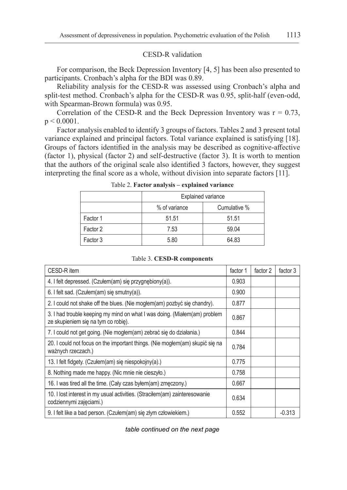## CESD-R validation

For comparison, the Beck Depression Inventory [4, 5] has been also presented to participants. Cronbach's alpha for the BDI was 0.89.

Reliability analysis for the CESD-R was assessed using Cronbach's alpha and split-test method. Cronbach's alpha for the CESD-R was 0.95, split-half (even-odd, with Spearman-Brown formula) was 0.95.

Correlation of the CESD-R and the Beck Depression Inventory was  $r = 0.73$ ,  $p < 0.0001$ .

Factor analysis enabled to identify 3 groups of factors. Tables 2 and 3 present total variance explained and principal factors. Total variance explained is satisfying [18]. Groups of factors identified in the analysis may be described as cognitive-affective (factor 1), physical (factor 2) and self-destructive (factor 3). It is worth to mention that the authors of the original scale also identified 3 factors, however, they suggest interpreting the final score as a whole, without division into separate factors [11].

|          | <b>Explained variance</b> |              |  |
|----------|---------------------------|--------------|--|
|          | % of variance             | Cumulative % |  |
| Factor 1 | 51.51                     | 51.51        |  |
| Factor 2 | 7.53                      | 59.04        |  |
| Factor 3 | 5.80                      | 64.83        |  |

Table 2. **Factor analysis – explained variance**

| CESD-R item                                                                                                      | factor 1 | factor 2 | factor 3 |
|------------------------------------------------------------------------------------------------------------------|----------|----------|----------|
| 4. I felt depressed. (Czułem(am) się przygnębiony(a)).                                                           | 0.903    |          |          |
| 6. I felt sad. (Czułem $(am)$ się smutny $(a)$ ).                                                                | 0.900    |          |          |
| 2. I could not shake off the blues. (Nie moglem(am) pozbyć się chandry).                                         | 0.877    |          |          |
| 3. I had trouble keeping my mind on what I was doing. (Miałem(am) problem<br>ze skupieniem się na tym co robię). | 0.867    |          |          |
| 7. I could not get going. (Nie mogłem(am) zebrać się do działania.)                                              | 0.844    |          |          |
| 20. I could not focus on the important things. (Nie moglem(am) skupić się na<br>ważnych rzeczach.)               | 0.784    |          |          |
| 13. I felt fidgety. (Czułem(am) się niespokojny(a).)                                                             | 0.775    |          |          |
| 8. Nothing made me happy. (Nic mnie nie cieszyło.)                                                               | 0.758    |          |          |
| 16. I was tired all the time. (Caly czas byłem(am) zmęczony.)                                                    | 0.667    |          |          |
| 10. I lost interest in my usual activities. (Stracilem(am) zainteresowanie<br>codziennymi zajęciami.)            | 0.634    |          |          |
| 9. I felt like a bad person. (Czułem(am) się złym człowiekiem.)                                                  | 0.552    |          | $-0.313$ |

Table 3. **CESD-R components**

*table continued on the next page*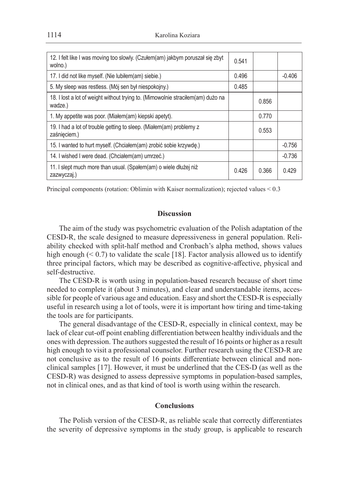1114 Karolina Koziara

| 12. I felt like I was moving too slowly. (Czułem(am) jakbym poruszał się zbyt<br>wolno.)   | 0.541 |       |          |
|--------------------------------------------------------------------------------------------|-------|-------|----------|
| 17. I did not like myself. (Nie lubiłem(am) siebie.)                                       | 0.496 |       | $-0.406$ |
| 5. My sleep was restless. (Mój sen był niespokojny.)                                       | 0.485 |       |          |
| 18. I lost a lot of weight without trying to. (Mimowolnie stracilem(am) dużo na<br>wadze.) |       | 0.856 |          |
| 1. My appetite was poor. (Miałem(am) kiepski apetyt).                                      |       | 0.770 |          |
| 19. I had a lot of trouble getting to sleep. (Miałem(am) problemy z<br>zaśnieciem.)        |       | 0.553 |          |
| 15. I wanted to hurt myself. (Chciałem(am) zrobić sobie krzywde.)                          |       |       | $-0.756$ |
| 14. I wished I were dead. (Chciałem(am) umrzeć.)                                           |       |       | $-0.736$ |
| 11. I slept much more than usual. (Spałem(am) o wiele dłużej niż<br>zazwyczaj.)            | 0.426 | 0.366 | 0.429    |

Principal components (rotation: Oblimin with Kaiser normalization); rejected values < 0.3

## **Discussion**

The aim of the study was psychometric evaluation of the Polish adaptation of the CESD-R, the scale designed to measure depressiveness in general population. Reliability checked with split-half method and Cronbach's alpha method, shows values high enough  $( $0.7$ ) to validate the scale [18]. Factor analysis allowed us to identify$ three principal factors, which may be described as cognitive-affective, physical and self-destructive.

The CESD-R is worth using in population-based research because of short time needed to complete it (about 3 minutes), and clear and understandable items, accessible for people of various age and education. Easy and short the CESD-R is especially useful in research using a lot of tools, were it is important how tiring and time-taking the tools are for participants.

The general disadvantage of the CESD-R, especially in clinical context, may be lack of clear cut-off point enabling differentiation between healthy individuals and the ones with depression. The authors suggested the result of 16 points or higher as a result high enough to visit a professional counselor. Further research using the CESD-R are not conclusive as to the result of 16 points differentiate between clinical and nonclinical samples [17]. However, it must be underlined that the CES-D (as well as the CESD-R) was designed to assess depressive symptoms in population-based samples, not in clinical ones, and as that kind of tool is worth using within the research.

## **Conclusions**

The Polish version of the CESD-R, as reliable scale that correctly differentiates the severity of depressive symptoms in the study group, is applicable to research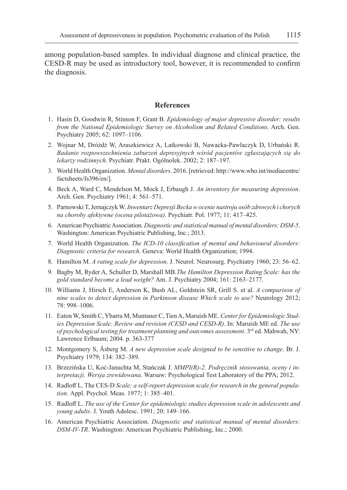among population-based samples. In individual diagnose and clinical practice, the CESD-R may be used as introductory tool, however, it is recommended to confirm the diagnosis.

# **References**

- 1. Hasin D, Goodwin R, Stinson F, Grant B. *Epidemiology of major depressive disorder: results from the National Epidemiologic Survey on Alcoholism and Related Conditions*. Arch. Gen. Psychiatry 2005; 62: 1097–1106.
- 2. Wojnar M, Dróżdż W, Araszkiewicz A, Latkowski B, Nawacka-Pawlaczyk D, Urbański R. *Badanie rozpowszechnienia zaburzeń depresyjnych wśród pacjentów zgłaszających się do lekarzy rodzinnych*. Psychiatr. Prakt. Ogólnolek. 2002; 2: 187–197.
- 3. World Health Organization. *Mental disorders*. 2016. [retrieved: http://www.who.int/mediacentre/ factsheets/fs396/en/].
- 4. Beck A, Ward C, Mendelson M, Mock J, Erbaugh J. *An inventory for measuring depression*. Arch. Gen. Psychiatry 1961; 4: 561–571.
- 5. Parnowski T, Jernajczyk W. *Inwentarz Depresji Becka w ocenie nastroju osób zdrowych i chorych na choroby afektywne (ocena pilotażowa)*. Psychiatr. Pol. 1977; 11: 417–425.
- 6. American Psychiatric Association. *Diagnostic and statistical manual of mental disorders: DSM-5*. Washington: American Psychiatric Publishing, Inc.; 2013.
- 7. World Health Organization. *The ICD-10 classification of mental and behavioural disorders: Diagnostic criteria for research*. Geneva: World Health Organization; 1994.
- 8. Hamilton M. *A rating scale for depression*. J. Neurol. Neurosurg. Psychiatry 1960; 23: 56–62.
- 9. Bagby M, Ryder A, Schuller D, Marshall MB.*The Hamilton Depression Rating Scale: has the gold standard become a lead weight?* Am. J. Psychiatry 2004; 161: 2163–2177.
- 10. Williams J, Hirsch E, Anderson K, Bush AL, Goldstein SR, Grill S. et al. *A comparison of nine scales to detect depression in Parkinson disease Which scale to use?* Neurology 2012; 78: 998–1006.
- 11. Eaton W, Smith C, Ybarra M, Muntaner C, Tien A, Maruish ME. *Center for Epidemiologic Studies Depression Scale: Review and revision (CESD and CESD-R)*. In: Maruish ME ed. *The use of psychological testing for treatment planning and outcomes assessment*. 3rd ed. Mahwah, NY: Lawrence Erlbaum; 2004. p. 363-377
- 12. Montgomery S, Åsberg M. *A new depression scale designed to be sensitive to change*. Br. J. Psychiatry 1979; 134: 382–389.
- 13. Brzezińska U, Koć-Januchta M, Stańczak J. *MMPI(R)-2. Podręcznik stosowania, oceny i interpretacji. Wersja zrewidowana*. Warsaw: Psychological Test Laboratory of the PPA; 2012.
- 14. Radloff L. The CES-D *Scale: a self-report depression scale for research in the general population.* Appl. Psychol. Meas. 1977; 1: 385–401.
- 15. Radloff L. *The use of the Center for epidemiologic studies depression scale in adolescents and young adults*. J. Youth Adolesc. 1991; 20: 149–166.
- 16. American Psychiatric Association. *Diagnostic and statistical manual of mental disorders: DSM-IV-TR*. Washington: American Psychiatric Publishing, Inc.; 2000.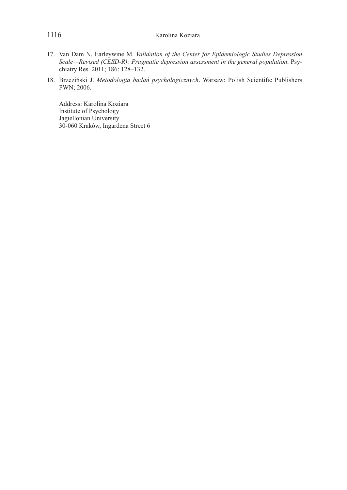- 17. Van Dam N, Earleywine M. *Validation of the Center for Epidemiologic Studies Depression Scale—Revised (CESD-R): Pragmatic depression assessment in the general population*. Psychiatry Res. 2011; 186: 128–132.
- 18. Brzeziński J. *Metodologia badań psychologicznych*. Warsaw: Polish Scientific Publishers PWN; 2006.

Address: Karolina Koziara Institute of Psychology Jagiellonian University 30-060 Kraków, Ingardena Street 6